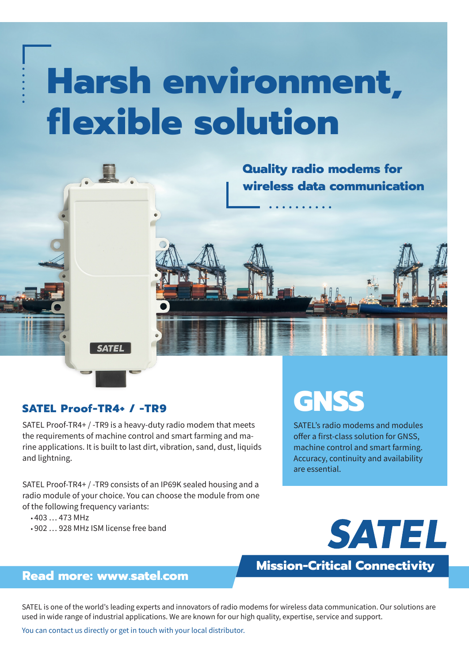# **Harsh environment, flexible solution**



#### **SATEL Proof-TR4+ / -TR9**

SATEL Proof-TR4+ / -TR9 is a heavy-duty radio modem that meets the requirements of machine control and smart farming and marine applications. It is built to last dirt, vibration, sand, dust, liquids and lightning.

SATEL Proof-TR4+ / -TR9 consists of an IP69K sealed housing and a radio module of your choice. You can choose the module from one of the following frequency variants:

• 403 … 473 MHz

• 902 … 928 MHz ISM license free band

# **GNSS**

SATEL's radio modems and modules offer a first-class solution for GNSS, machine control and smart farming. Accuracy, continuity and availability are essential.



## **Mission-Critical Connectivity**

### **Read more: www.satel.com**

SATEL is one of the world's leading experts and innovators of radio modems for wireless data communication. Our solutions are used in wide range of industrial applications. We are known for our high quality, expertise, service and support.

You can contact us directly or get in touch with your local distributor.